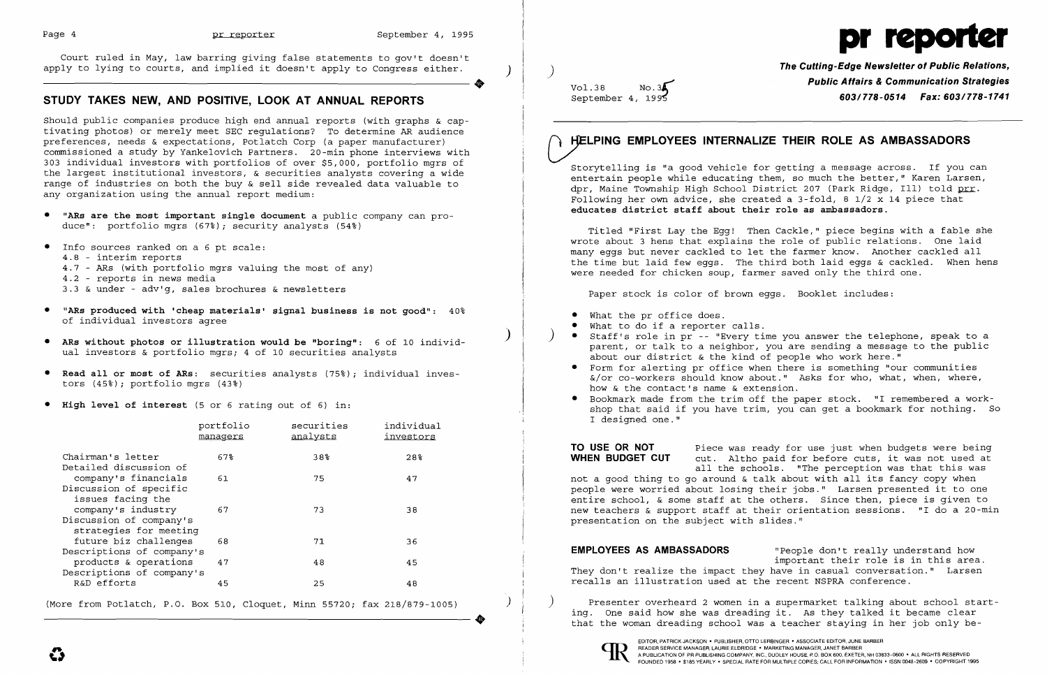

Court ruled in May, law barring giving false statements to gov't doesn't apply to lying to courts, and implied it doesn't apply to Congress either. **The Cutting-Edge Newsletter of Public Relations,** ) )

# **STUDY TAKES NEW, AND POSITIVE, LOOK AT ANNUAL REPORTS**

Should public companies produce high end annual reports (with graphs & captivating photos) or merely meet SEC regulations? To determine AR audience preferences, needs & expectations, Potlatch Corp (a paper manufacturer) commissioned a study by Yankelovich Partners. 20-min phone interviews with 303 individual investors with portfolios of over \$5,000, portfolio mgrs of the largest institutional investors, & securities analysts covering a wide range of industries on both the buy & sell side revealed data valuable to any organization using the annual report medium:

Vol.38 **No.34 Public Affairs & Communication Strategies**<br>September 4, 1995 *Communication Strategies* September 4, 199? **603/778-0514 Fax: 603/778-1741** 

- • "ARs are the most important single document a public company can produce": portfolio mgrs (67%); security analysts (54%)
- • Info sources ranked on a 6 pt scale: 4.8 - interim reports 4.7 - ARs (with portfolio mgrs valuing the most of any) 4.2 - reports in news media 3.3 & under - adv'g, sales brochures & newsletters
- "ARs produced with 'cheap materials' signal business is not good":  $40\%$ of individual investors agree
- ) • ARs without photos or illustration would be "boring": 6 of 10 individual investors & portfolio mgrs; 4 of 10 securities analysts
- Read all or most of ARs: securities analysts (75%); individual investors (45%); portfolio mgrs (43%)
- • High level of interest (5 or 6 rating out of 6) in:
- 
- What the pr office does.<br>What to do if a reporter calls.
- Staff's role in pr -- "Every time you answer the telephone, speak to a about our district & the kind of people who work here."
	- • Form for alerting pr office when there is something "our communities how & the contact's name & extension.
- I designed one."

**TO USE OR NOT** Piece was ready for use just when budgets were being<br>**WHEN BUDGET CUT** cut. Altho paid for before cuts, it was not used at cut. Altho paid for before cuts, it was not used at all the schools. "The perception was that this was not a good thing to go around & talk about with all its fancy copy when people were worried about losing their jobs." Larsen presented it to one entire school, & some staff at the others. Since then, piece is given to new teachers & support staff at their orientation sessions. "I do a 20-min presentation on the subject with slides."

|                                                                   | portfolio<br>managers | securities<br><u>analysts</u> | individual<br>investors |
|-------------------------------------------------------------------|-----------------------|-------------------------------|-------------------------|
| Chairman's letter<br>Detailed discussion of                       | $67\%$                | 38%                           | 28 <sup>°</sup>         |
| company's financials                                              | 61                    | 75                            | 47                      |
| Discussion of specific<br>issues facing the<br>company's industry | 67                    | 73                            | 38                      |
| Discussion of company's<br>strategies for meeting                 |                       |                               |                         |
| future biz challenges<br>Descriptions of company's                | 68                    | 71                            | 36                      |
| products & operations<br>Descriptions of company's                | 47                    | 48                            | 45                      |
| R&D efforts                                                       | 45                    | 25                            | 48                      |

# HELPING EMPLOYEES INTERNALIZE THEIR ROLE AS AMBASSADORS

(More from Potlatch, P.O. Box 510, Cloquet, Minn 55720; fax 218/879-1005)  $\qquad$  Presenter overheard 2 women in a supermarket talking about school starting. One said how she was dreading it. As they talked it became clear that the woman dreading school was a teacher staying in her job only be-

Storytelling is "a good vehicle for getting a message across. If you can entertain people while educating them, so much the better," Karen Larsen, dpr, Maine Township High School District 207 (Park Ridge, Ill) told prr. Following her own advice, she created a 3-fold, 8 1/2 x 14 piece that educates district staff about their role as ambassadors.

Titled "First Lay the Egg! Then Cackle," piece begins with a fable she wrote about 3 hens that explains the role of public relations. One laid many eggs but never cackled to let the farmer know. Another cackled all the time but laid few eggs. The third both laid eggs & cackled. When hens were needed for chicken soup, farmer saved only the third one.

Paper stock is color of brown eggs. Booklet includes:

parent, or talk to a neighbor, you are sending a message to the public &/or co-workers should know about." Asks for who, what, when, where, • Bookmark made from the trim off the paper stock. "I remembered a workshop that said if you have trim, you can get a bookmark for nothing. So

**EMPLOYEES AS AMBASSADORS** "People don't really understand how important their role is in this area. They don't realize the impact they have in casual conversation." Larsen recalls an illustration used at the recent NSPRA conference.

..

EDITOR, PATRICK JACKSON· PUBLISHER, OTTO LERBINGER • ASSOCIATE EDITOR, JUNE BARBER